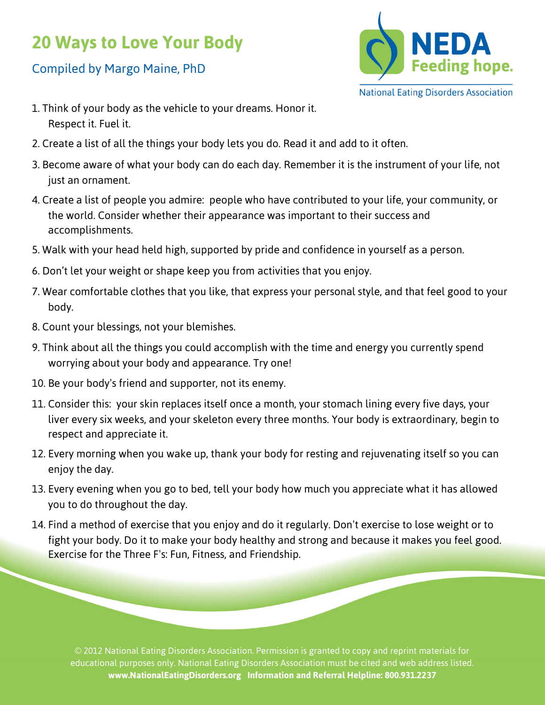## **20 Ways to Love Your Body**

## Compiled by Margo Maine, PhD



- 1. Think of your body as the vehicle to your dreams. Honor it. Respect it. Fuel it.
- 2. Create a list of all the things your body lets you do. Read it and add to it often.
- 3. Become aware of what your body can do each day. Remember it is the instrument of your life, not just an ornament.
- 4. Create a list of people you admire: people who have contributed to your life, your community, or the world. Consider whether their appearance was important to their success and accomplishments.
- 5. Walk with your head held high, supported by pride and confidence in yourself as a person.
- 6. Don't let your weight or shape keep you from activities that you enjoy.
- 7. Wear comfortable clothes that you like, that express your personal style, and that feel good to your body.
- 8. Count your blessings, not your blemishes.
- 9. Think about all the things you could accomplish with the time and energy you currently spend worrying about your body and appearance. Try one!
- 10. Be your body's friend and supporter, not its enemy.
- 11. Consider this: your skin replaces itself once a month, your stomach lining every five days, your liver every six weeks, and your skeleton every three months. Your body is extraordinary, begin to respect and appreciate it.
- 12. Every morning when you wake up, thank your body for resting and rejuvenating itself so you can enjoy the day.
- 13. Every evening when you go to bed, tell your body how much you appreciate what it has allowed you to do throughout the day.
- 14. Find a method of exercise that you enjoy and do it regularly. Don't exercise to lose weight or to fight your body. Do it to make your body healthy and strong and because it makes you feel good. Exercise for the Three F's: Fun, Fitness, and Friendship.

© 2012 National Eating Disorders Association. Permission is granted to copy and reprint materials for educational purposes only. National Eating Disorders Association must be cited and web address listed. **www.NationalEatingDisorders.org Information and Referral Helpline: 800.931.2237**